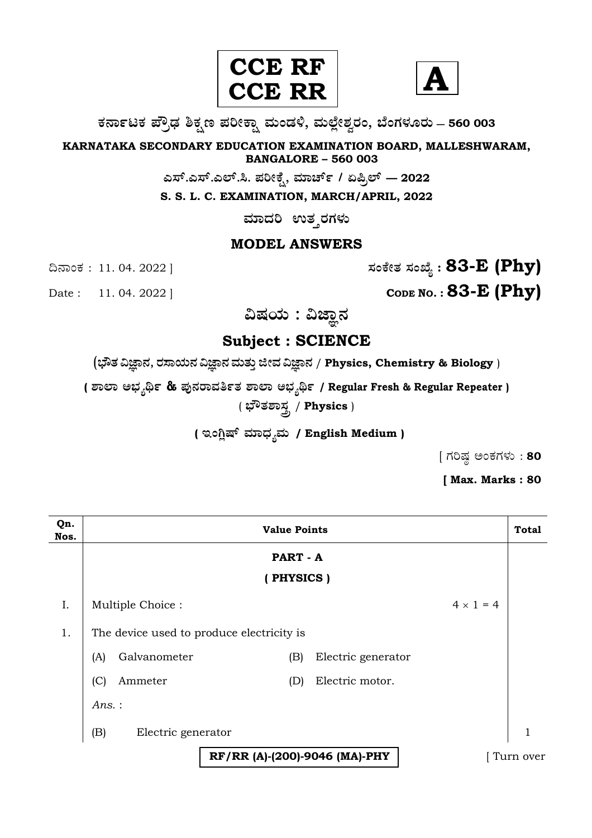



**O⁄´¤%lO⁄ ÆË√v⁄ ÃO⁄–y Æ⁄¬fiO¤– »⁄flMs⁄ÿ, »⁄fl≈Ê«fiÀ⁄ ¡⁄M, ∑ÊMV⁄◊⁄‡¡⁄fl — 560 003** 

**KARNATAKA SECONDARY EDUCATION EXAMINATION BOARD, MALLESHWARAM, BANGALORE – 560 003** 

 $\sigma$ ಎಸ್.ಎಲ್.ಸಿ. ಪರೀಕ್ಷೆ, ಮಾರ್ಚ್ / ಏಪ್ರಿಲ್ — 2022

**S. S. L. C. EXAMINATION, MARCH/APRIL, 2022** 

 $\overline{a}$ ಸಾದರಿ ಉತ್ತರಗಳು

# **MODEL ANSWERS**

¶´¤MO⁄ : 11. 04. 2022 ] **—⁄MOÊfi}⁄ —⁄MSÊ¿ : 83-E (Phy)**

Date : 11. 04. 2022 ] **CODE NO. : 83-E (Phy)** 

ವಿಷಯ : ವಿಜ್ಞಾನ

**Subject : SCIENCE** 

(**»èñÜ ËþÝ®Ü, ÃÜÓÝ¿á®Ü ËþÝ®Ü ÊÜáñÜᤠiàÊÜ ËþÝ®Ü** / **Physics, Chemistry & Biology** )

**( À¤≈¤ @∫⁄¥¿£% & Æ⁄'¥´⁄¡¤»⁄~%}⁄ À¤≈¤ @∫⁄¥¿£% / Regular Fresh & Regular Repeater )** ( **∫Ë}⁄À¤—⁄°** / **Physics** )

( ಇಂಗ್ಲಿಷ್ ಮಾಧ್ಯಮ / English Medium )

 $[$  ಗರಿಷ್ಣ ಅಂಕಗಳು : 80

**[ Max. Marks : 80** 

| Qn.<br>Nos. | <b>Value Points</b>                       |           |                    | <b>Total</b>     |           |
|-------------|-------------------------------------------|-----------|--------------------|------------------|-----------|
|             |                                           | PART - A  |                    |                  |           |
|             |                                           | (PHYSICS) |                    |                  |           |
| I.          | Multiple Choice:                          |           |                    | $4 \times 1 = 4$ |           |
| 1.          | The device used to produce electricity is |           |                    |                  |           |
|             | Galvanometer<br>(A)                       | (B)       | Electric generator |                  |           |
|             | (C)<br>Ammeter                            | (D)       | Electric motor.    |                  |           |
|             | Ans.:                                     |           |                    |                  |           |
|             | (B)<br>Electric generator                 |           |                    |                  | 1         |
|             | RF/RR (A)-(200)-9046 (MA)-PHY             |           |                    |                  | Turn over |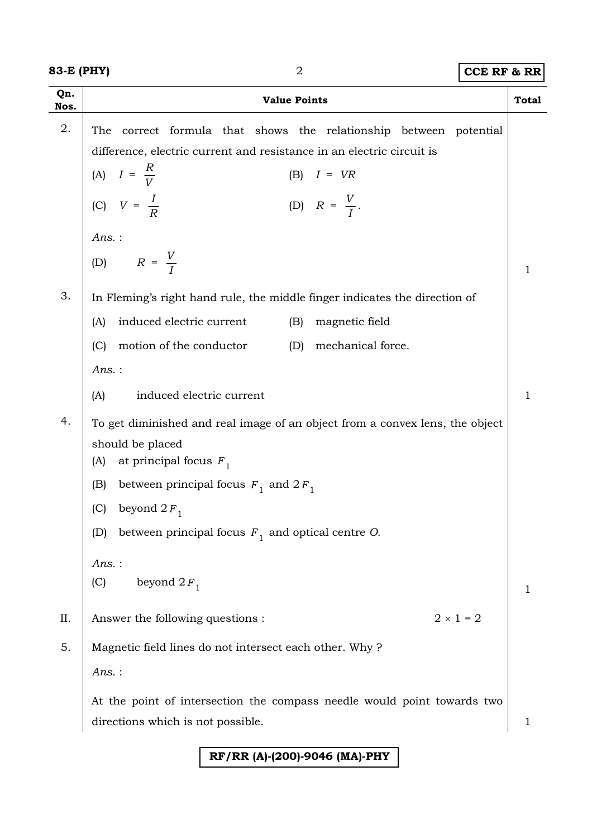**83-E (PHY)** 2 **CCE RF & RR**

| Qn.<br>Nos. | <b>Value Points</b>                                                                                                                 | <b>Total</b> |  |
|-------------|-------------------------------------------------------------------------------------------------------------------------------------|--------------|--|
| 2.          | correct formula that shows the relationship between potential<br>The                                                                |              |  |
|             | difference, electric current and resistance in an electric circuit is                                                               |              |  |
|             | (A) $I = \frac{R}{V}$<br>$(B)$ $I = VR$                                                                                             |              |  |
|             | (C) $V = \frac{I}{R}$<br>(D) $R = \frac{V}{I}$ .                                                                                    |              |  |
|             | $Ans.$ :                                                                                                                            |              |  |
|             | (D) $R = \frac{V}{I}$                                                                                                               | 1            |  |
| 3.          | In Fleming's right hand rule, the middle finger indicates the direction of                                                          |              |  |
|             | induced electric current<br>magnetic field<br>(A)<br>(B)                                                                            |              |  |
|             | motion of the conductor<br>mechanical force.<br>(C)<br>(D)                                                                          |              |  |
|             | Ans.:                                                                                                                               |              |  |
|             | induced electric current<br>(A)                                                                                                     | 1            |  |
| 4.          | To get diminished and real image of an object from a convex lens, the object<br>should be placed<br>at principal focus $F_1$<br>(A) |              |  |
|             | between principal focus $F_1$ and $2F_1$<br>(B)                                                                                     |              |  |
|             | beyond $2F_1$<br>(C)                                                                                                                |              |  |
|             | between principal focus $F_1$ and optical centre O.<br>(D)                                                                          |              |  |
|             | $Ans.$ :                                                                                                                            |              |  |
|             | (C)<br>beyond $2F_1$                                                                                                                | 1            |  |
| II.         | $2 \times 1 = 2$<br>Answer the following questions :                                                                                |              |  |
| 5.          | Magnetic field lines do not intersect each other. Why?                                                                              |              |  |
|             | $Ans.$ :                                                                                                                            |              |  |
|             | At the point of intersection the compass needle would point towards two                                                             |              |  |
|             | directions which is not possible.                                                                                                   | 1            |  |

### **RF/RR (A)-(200)-9046 (MA)-PHY**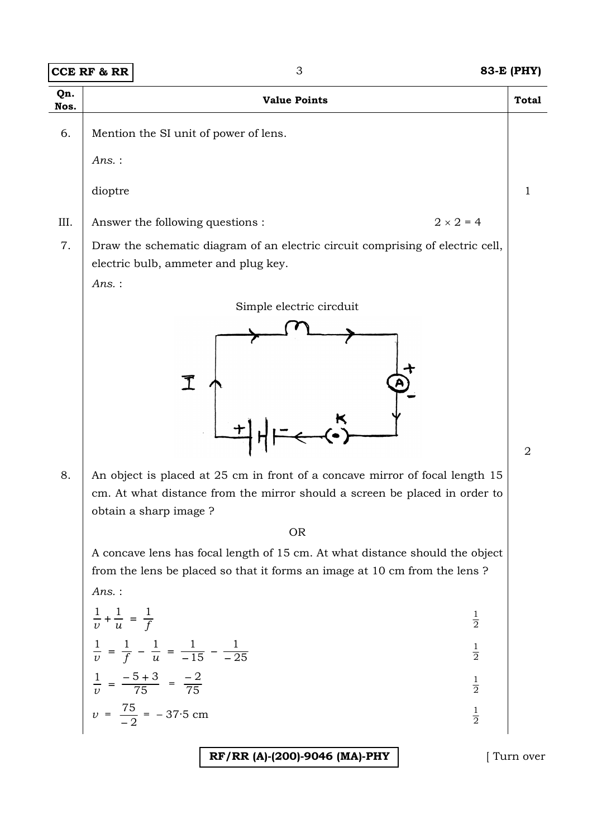|             | <b>CCE RF &amp; RR</b>                    | 3                                                                                                                                                                                   | 83-E (PHY)   |
|-------------|-------------------------------------------|-------------------------------------------------------------------------------------------------------------------------------------------------------------------------------------|--------------|
| Qn.<br>Nos. |                                           | <b>Value Points</b>                                                                                                                                                                 | <b>Total</b> |
| 6.          | $Ans.$ :                                  | Mention the SI unit of power of lens.                                                                                                                                               |              |
|             | dioptre                                   |                                                                                                                                                                                     | 1            |
| III.        |                                           | $2 \times 2 = 4$<br>Answer the following questions :                                                                                                                                |              |
| 7.          | $Ans.$ :                                  | Draw the schematic diagram of an electric circuit comprising of electric cell,<br>electric bulb, ammeter and plug key.                                                              |              |
| 8.          |                                           | An object is placed at 25 cm in front of a concave mirror of focal length 15<br>cm. At what distance from the mirror should a screen be placed in order to<br>obtain a sharp image? | 2            |
|             | Ans.:                                     | <b>OR</b><br>A concave lens has focal length of 15 cm. At what distance should the object<br>from the lens be placed so that it forms an image at 10 cm from the lens ?             |              |
|             | $\frac{1}{v} + \frac{1}{u} = \frac{1}{f}$ | $\frac{1}{2}$                                                                                                                                                                       |              |
|             |                                           | $\frac{1}{v} = \frac{1}{f} - \frac{1}{u} = \frac{1}{-15} - \frac{1}{-25}$<br>$\frac{1}{2}$                                                                                          |              |
|             |                                           | $\frac{1}{v} = \frac{-5+3}{75} = \frac{-2}{75}$<br>$\frac{1}{2}$                                                                                                                    |              |
|             |                                           | $v = \frac{75}{2} = -37.5$ cm<br>$\frac{1}{2}$                                                                                                                                      |              |

**RF/RR (A)-(200)-9046 (MA)-PHY** [ Turn over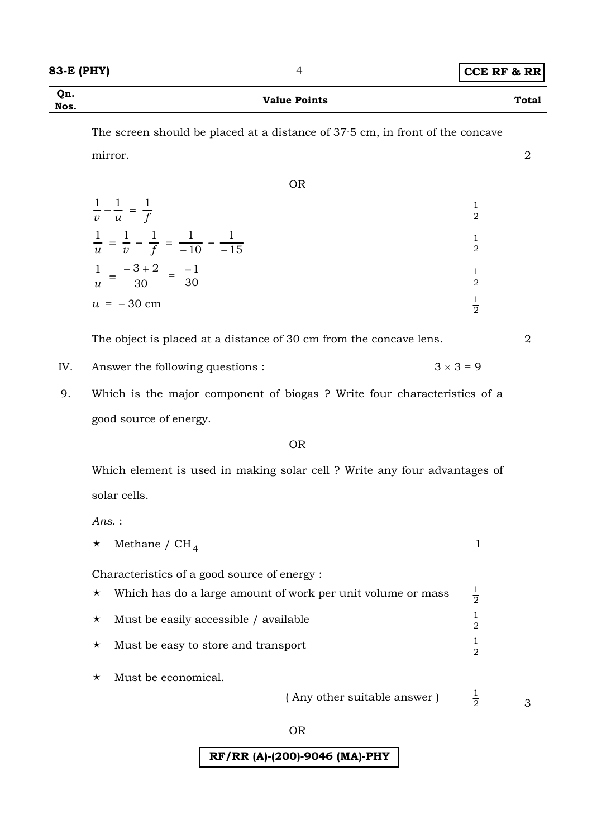#### **83-E (PHY)** 4 **CCE RF & RR**

| Qn.<br>Nos. | <b>Value Points</b>                                                                        | <b>Total</b> |  |
|-------------|--------------------------------------------------------------------------------------------|--------------|--|
|             | The screen should be placed at a distance of 37.5 cm, in front of the concave              |              |  |
|             | mirror.                                                                                    | 2            |  |
|             | <b>OR</b>                                                                                  |              |  |
|             | $\frac{1}{v} - \frac{1}{u} = \frac{1}{f}$<br>$\frac{1}{2}$                                 |              |  |
|             | $\frac{1}{u} = \frac{1}{v} - \frac{1}{f} = \frac{1}{-10} - \frac{1}{-15}$<br>$\frac{1}{2}$ |              |  |
|             | $\frac{1}{u} = \frac{-3+2}{30} = \frac{-1}{30}$<br>$\frac{1}{2}$                           |              |  |
|             | $\frac{1}{2}$<br>$u = -30$ cm                                                              |              |  |
|             | The object is placed at a distance of 30 cm from the concave lens.                         | 2            |  |
| IV.         | $3 \times 3 = 9$<br>Answer the following questions :                                       |              |  |
| 9.          | Which is the major component of biogas? Write four characteristics of a                    |              |  |
|             | good source of energy.                                                                     |              |  |
|             | <b>OR</b>                                                                                  |              |  |
|             | Which element is used in making solar cell ? Write any four advantages of                  |              |  |
|             | solar cells.                                                                               |              |  |
|             | Ans.:                                                                                      |              |  |
|             | Methane / $CH_4$<br>1<br>$\star$                                                           |              |  |
|             | Characteristics of a good source of energy :                                               |              |  |
|             | $\frac{1}{2}$<br>Which has do a large amount of work per unit volume or mass<br>$\star$    |              |  |
|             | $\frac{1}{2}$<br>Must be easily accessible / available<br>$\star$                          |              |  |
|             | $\frac{1}{2}$<br>Must be easy to store and transport<br>$\star$                            |              |  |
|             | Must be economical.<br>$\star$                                                             |              |  |
|             | $\frac{1}{2}$<br>(Any other suitable answer)                                               | З            |  |
|             | <b>OR</b>                                                                                  |              |  |
|             | RF/RR (A)-(200)-9046 (MA)-PHY                                                              |              |  |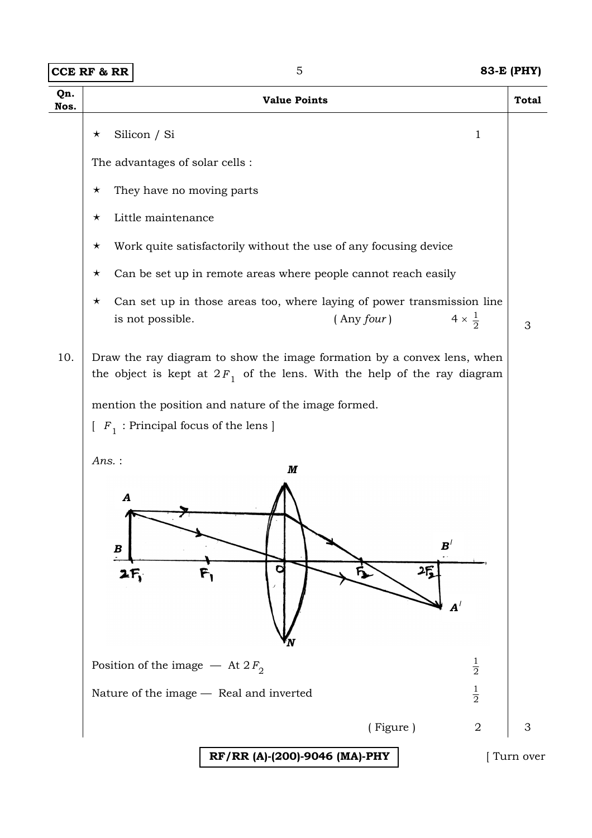| <b>CCE RF &amp; RR</b> |  |  |  |
|------------------------|--|--|--|
|------------------------|--|--|--|

**CCE RF & RR** 5 **83-E (PHY)** 

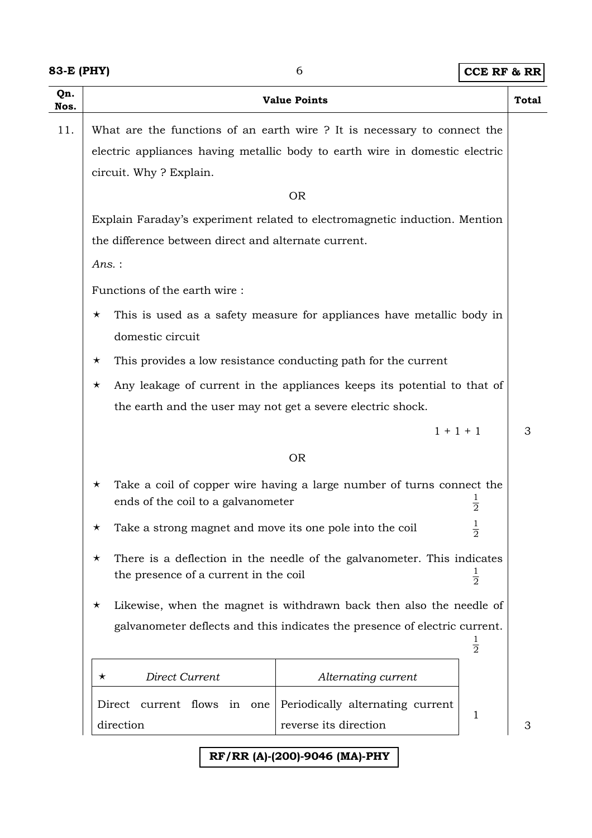| Qn.<br>Nos. | <b>Value Points</b>                                                                                                                                                                                                        | <b>Total</b> |  |
|-------------|----------------------------------------------------------------------------------------------------------------------------------------------------------------------------------------------------------------------------|--------------|--|
| 11.         | What are the functions of an earth wire ? It is necessary to connect the                                                                                                                                                   |              |  |
|             | electric appliances having metallic body to earth wire in domestic electric                                                                                                                                                |              |  |
|             | circuit. Why? Explain.                                                                                                                                                                                                     |              |  |
|             | <b>OR</b>                                                                                                                                                                                                                  |              |  |
|             | Explain Faraday's experiment related to electromagnetic induction. Mention                                                                                                                                                 |              |  |
|             | the difference between direct and alternate current.                                                                                                                                                                       |              |  |
|             | $Ans.$ :                                                                                                                                                                                                                   |              |  |
|             | Functions of the earth wire:                                                                                                                                                                                               |              |  |
|             | This is used as a safety measure for appliances have metallic body in<br>$\star$                                                                                                                                           |              |  |
|             | domestic circuit                                                                                                                                                                                                           |              |  |
|             | This provides a low resistance conducting path for the current<br>$\star$                                                                                                                                                  |              |  |
|             | Any leakage of current in the appliances keeps its potential to that of<br>$\star$                                                                                                                                         |              |  |
|             | the earth and the user may not get a severe electric shock.                                                                                                                                                                |              |  |
|             | $1 + 1 + 1$                                                                                                                                                                                                                | 3            |  |
|             | <b>OR</b>                                                                                                                                                                                                                  |              |  |
|             | Take a coil of copper wire having a large number of turns connect the<br>$\star$<br>ends of the coil to a galvanometer<br>$\frac{1}{2}$                                                                                    |              |  |
|             | Take a strong magnet and move its one pole into the coil<br>$\overline{2}$<br>There is a deflection in the needle of the galvanometer. This indicates<br>$\star$<br>$\frac{1}{2}$<br>the presence of a current in the coil |              |  |
|             |                                                                                                                                                                                                                            |              |  |
|             | Likewise, when the magnet is withdrawn back then also the needle of<br>$\star$<br>galvanometer deflects and this indicates the presence of electric current.<br>$\frac{1}{2}$                                              |              |  |
|             |                                                                                                                                                                                                                            |              |  |
|             | Direct Current<br>Alternating current<br>$\star$                                                                                                                                                                           |              |  |
|             | Periodically alternating current<br>current flows in one<br>Direct<br>1<br>reverse its direction<br>direction                                                                                                              | 3            |  |

## **RF/RR (A)-(200)-9046 (MA)-PHY**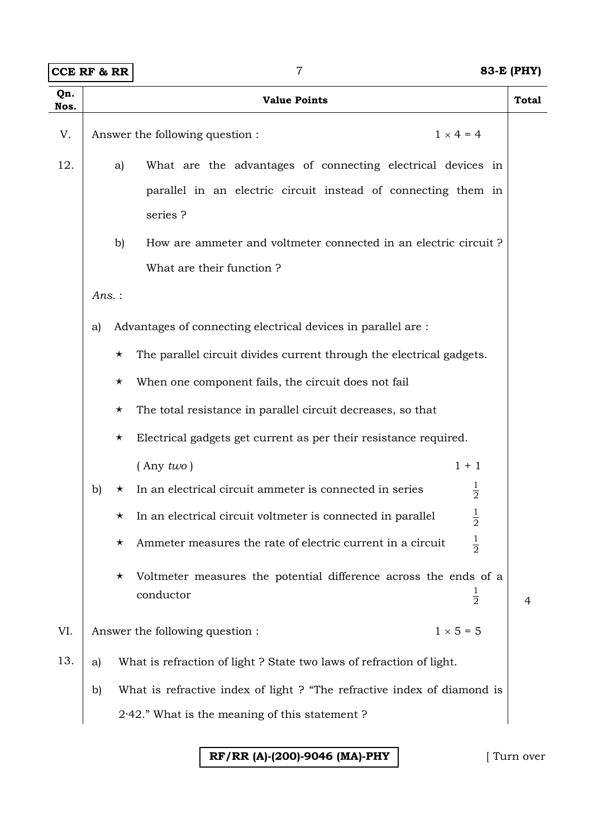|             | <b>CCE RF &amp; RR</b> | $\overline{7}$                                                                                                                                                                                                         | <b>83-E (PHY)</b>  |
|-------------|------------------------|------------------------------------------------------------------------------------------------------------------------------------------------------------------------------------------------------------------------|--------------------|
| Qn.<br>Nos. |                        | <b>Value Points</b>                                                                                                                                                                                                    | <b>Total</b>       |
| V.          |                        | Answer the following question :                                                                                                                                                                                        | $1 \times 4 = 4$   |
| 12.         |                        | What are the advantages of connecting electrical devices in<br>a)<br>parallel in an electric circuit instead of connecting them in<br>series?<br>b)<br>How are ammeter and voltmeter connected in an electric circuit? |                    |
|             |                        | What are their function?                                                                                                                                                                                               |                    |
|             | Ans.:                  |                                                                                                                                                                                                                        |                    |
|             | a)                     | Advantages of connecting electrical devices in parallel are :                                                                                                                                                          |                    |
|             |                        | The parallel circuit divides current through the electrical gadgets.<br>$\star$                                                                                                                                        |                    |
|             |                        | When one component fails, the circuit does not fail<br>$\star$                                                                                                                                                         |                    |
|             |                        | The total resistance in parallel circuit decreases, so that<br>$\star$                                                                                                                                                 |                    |
|             |                        | Electrical gadgets get current as per their resistance required.<br>$\star$                                                                                                                                            |                    |
|             |                        | $($ Any $two)$                                                                                                                                                                                                         | $1 + 1$            |
|             | b)                     | In an electrical circuit ammeter is connected in series<br>$\star$                                                                                                                                                     | $\frac{1}{2}$      |
|             |                        | In an electrical circuit voltmeter is connected in parallel<br>$\star$                                                                                                                                                 | $\frac{1}{2}$      |
|             |                        | Ammeter measures the rate of electric current in a circuit<br>$\star$                                                                                                                                                  | $\frac{1}{2}$      |
|             |                        | Voltmeter measures the potential difference across the ends of a<br>$\star$<br>conductor                                                                                                                               | $\frac{1}{2}$<br>4 |
| VI.         |                        | Answer the following question :                                                                                                                                                                                        | $1 \times 5 = 5$   |
| 13.         | a)                     | What is refraction of light? State two laws of refraction of light.                                                                                                                                                    |                    |
|             | b)                     | What is refractive index of light ? "The refractive index of diamond is                                                                                                                                                |                    |
|             |                        | $2.42$ ." What is the meaning of this statement?                                                                                                                                                                       |                    |

**RF/RR (A)-(200)-9046 (MA)-PHY** [ Turn over